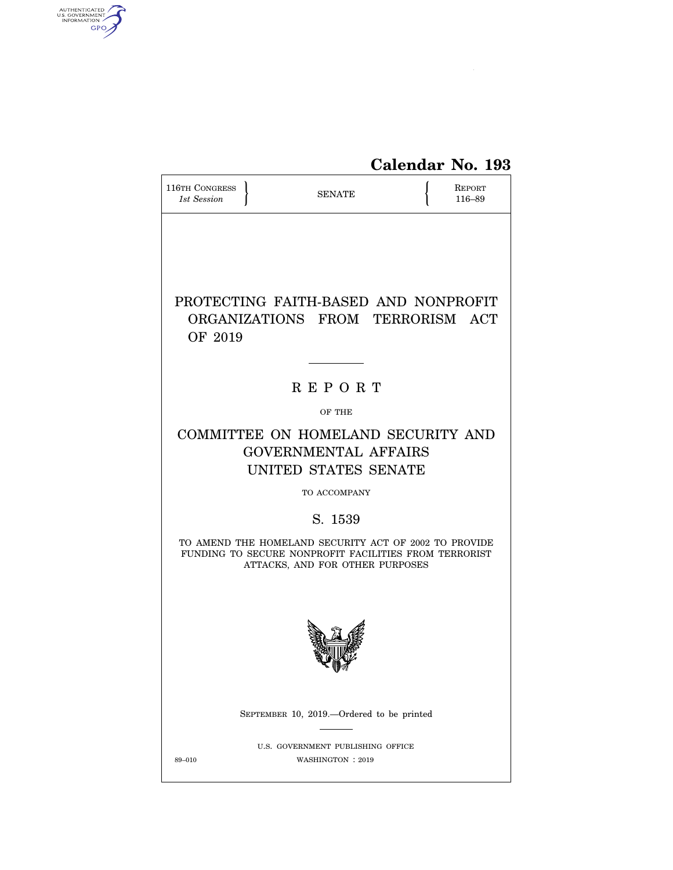

| 116TH CONGRESS<br>1st Session | <b>SENATE</b>                                                                                                                                                                                                                                                             | REPORT<br>116-89 |
|-------------------------------|---------------------------------------------------------------------------------------------------------------------------------------------------------------------------------------------------------------------------------------------------------------------------|------------------|
| OF 2019                       | PROTECTING FAITH-BASED AND NONPROFIT<br>ORGANIZATIONS FROM TERRORISM ACT                                                                                                                                                                                                  |                  |
|                               | <b>REPORT</b>                                                                                                                                                                                                                                                             |                  |
|                               | OF THE                                                                                                                                                                                                                                                                    |                  |
|                               | COMMITTEE ON HOMELAND SECURITY AND<br><b>GOVERNMENTAL AFFAIRS</b><br>UNITED STATES SENATE<br>TO ACCOMPANY<br>S. 1539<br>TO AMEND THE HOMELAND SECURITY ACT OF 2002 TO PROVIDE<br>FUNDING TO SECURE NONPROFIT FACILITIES FROM TERRORIST<br>ATTACKS, AND FOR OTHER PURPOSES |                  |
|                               |                                                                                                                                                                                                                                                                           |                  |
|                               | SEPTEMBER 10, 2019.—Ordered to be printed                                                                                                                                                                                                                                 |                  |
| 89-010                        | U.S. GOVERNMENT PUBLISHING OFFICE<br>WASHINGTON : 2019                                                                                                                                                                                                                    |                  |

AUTHENTICATED<br>U.S. GOVERNMENT<br>INFORMATION<br>GPO

 $\widehat{\mathbf{f}}$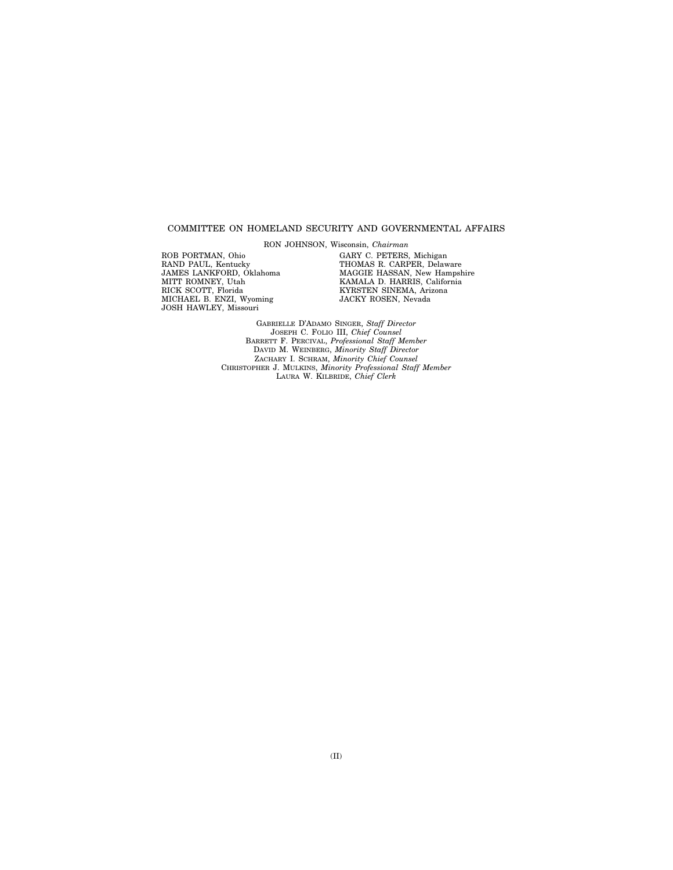## COMMITTEE ON HOMELAND SECURITY AND GOVERNMENTAL AFFAIRS

RON JOHNSON, Wisconsin, *Chairman*  ROB PORTMAN, Ohio RAND PAUL, Kentucky JAMES LANKFORD, Oklahoma MITT ROMNEY, Utah

RICK SCOTT, Florida MICHAEL B. ENZI, Wyoming JOSH HAWLEY, Missouri

GARY C. PETERS, Michigan THOMAS R. CARPER, Delaware MAGGIE HASSAN, New Hampshire KAMALA D. HARRIS, California KYRSTEN SINEMA, Arizona JACKY ROSEN, Nevada

GABRIELLE D'ADAMO SINGER, *Staff Director*  JOSEPH C. FOLIO III, *Chief Counsel*  BARRETT F. PERCIVAL, *Professional Staff Member*  DAVID M. WEINBERG, *Minority Staff Director*  ZACHARY I. SCHRAM, *Minority Chief Counsel*  CHRISTOPHER J. MULKINS, *Minority Professional Staff Member*  LAURA W. KILBRIDE, *Chief Clerk*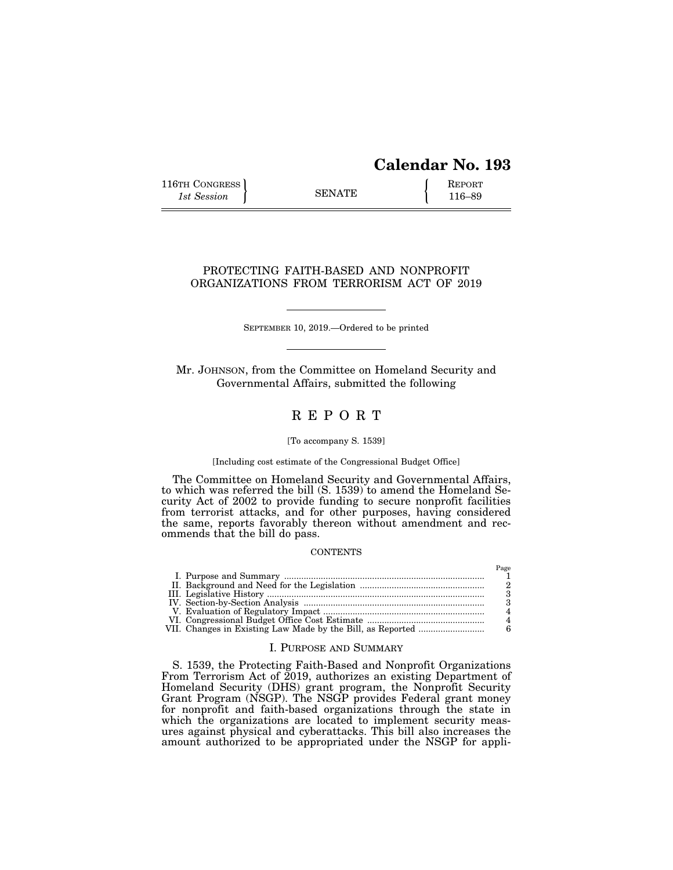# **Calendar No. 193**

116TH CONGRESS **REPORT** 116-89

## PROTECTING FAITH-BASED AND NONPROFIT ORGANIZATIONS FROM TERRORISM ACT OF 2019

SEPTEMBER 10, 2019.—Ordered to be printed

Mr. JOHNSON, from the Committee on Homeland Security and Governmental Affairs, submitted the following

## R E P O R T

## [To accompany S. 1539]

## [Including cost estimate of the Congressional Budget Office]

The Committee on Homeland Security and Governmental Affairs, to which was referred the bill (S. 1539) to amend the Homeland Security Act of 2002 to provide funding to secure nonprofit facilities from terrorist attacks, and for other purposes, having considered the same, reports favorably thereon without amendment and recommends that the bill do pass.

## **CONTENTS**

## I. PURPOSE AND SUMMARY

S. 1539, the Protecting Faith-Based and Nonprofit Organizations From Terrorism Act of 2019, authorizes an existing Department of Homeland Security (DHS) grant program, the Nonprofit Security Grant Program (NSGP). The NSGP provides Federal grant money for nonprofit and faith-based organizations through the state in which the organizations are located to implement security measures against physical and cyberattacks. This bill also increases the amount authorized to be appropriated under the NSGP for appli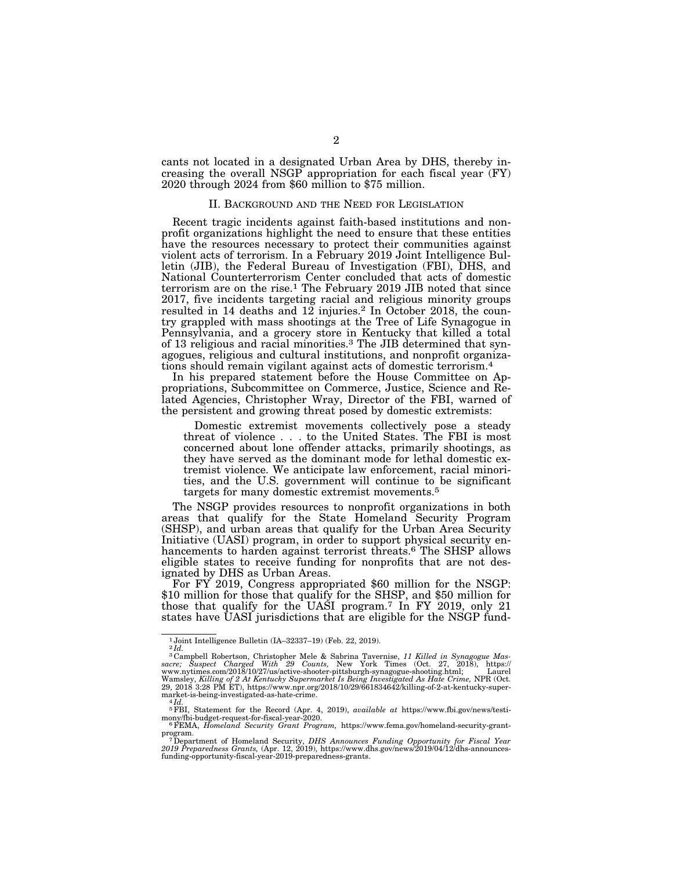cants not located in a designated Urban Area by DHS, thereby increasing the overall NSGP appropriation for each fiscal year (FY) 2020 through 2024 from \$60 million to \$75 million.

## II. BACKGROUND AND THE NEED FOR LEGISLATION

Recent tragic incidents against faith-based institutions and nonprofit organizations highlight the need to ensure that these entities have the resources necessary to protect their communities against violent acts of terrorism. In a February 2019 Joint Intelligence Bulletin (JIB), the Federal Bureau of Investigation (FBI), DHS, and National Counterterrorism Center concluded that acts of domestic terrorism are on the rise.1 The February 2019 JIB noted that since 2017, five incidents targeting racial and religious minority groups resulted in 14 deaths and 12 injuries.2 In October 2018, the country grappled with mass shootings at the Tree of Life Synagogue in Pennsylvania, and a grocery store in Kentucky that killed a total of 13 religious and racial minorities.3 The JIB determined that synagogues, religious and cultural institutions, and nonprofit organizations should remain vigilant against acts of domestic terrorism.4

In his prepared statement before the House Committee on Appropriations, Subcommittee on Commerce, Justice, Science and Related Agencies, Christopher Wray, Director of the FBI, warned of the persistent and growing threat posed by domestic extremists:

Domestic extremist movements collectively pose a steady threat of violence . . . to the United States. The FBI is most concerned about lone offender attacks, primarily shootings, as they have served as the dominant mode for lethal domestic extremist violence. We anticipate law enforcement, racial minorities, and the U.S. government will continue to be significant targets for many domestic extremist movements.5

The NSGP provides resources to nonprofit organizations in both areas that qualify for the State Homeland Security Program (SHSP), and urban areas that qualify for the Urban Area Security Initiative (UASI) program, in order to support physical security enhancements to harden against terrorist threats.<sup>6</sup> The SHSP allows eligible states to receive funding for nonprofits that are not designated by DHS as Urban Areas.

For FY 2019, Congress appropriated \$60 million for the NSGP: \$10 million for those that qualify for the SHSP, and \$50 million for those that qualify for the UASI program.7 In FY 2019, only 21 states have UASI jurisdictions that are eligible for the NSGP fund-

<sup>1</sup> Joint Intelligence Bulletin (IA–32337–19) (Feb. 22, 2019). 2 *Id.* 

<sup>&</sup>lt;sup>3</sup> Campbell Robertson, Christopher Mele & Sabrina Tavernise, 11 Killed in Synagogue Massacre; Suspect Charged With 29 Counts, New York Times (Oct. 27, 2018), https://<br>www.nytimes.com/2018/10/27/us/active-shooter-pittsbur market-is-being-investigated-as-hate-crime. 4 *Id.* 

<sup>5</sup>FBI, Statement for the Record (Apr. 4, 2019), *available at* https://www.fbi.gov/news/testi-

mony/fbi-budget-request-for-fiscal-year-2020. 6FEMA, *Homeland Security Grant Program,* https://www.fema.gov/homeland-security-grant-

program.<br><sup>7</sup> Department of Homeland Security, *DHS Announces Funding Opportunity for Fiscal Year*<br>2019 *Preparedness Grants*, (Apr. 12, 2019), https://www.dhs.gov/news/2019/04/12/dhs-announces-<br>funding-opportunity-fiscal-y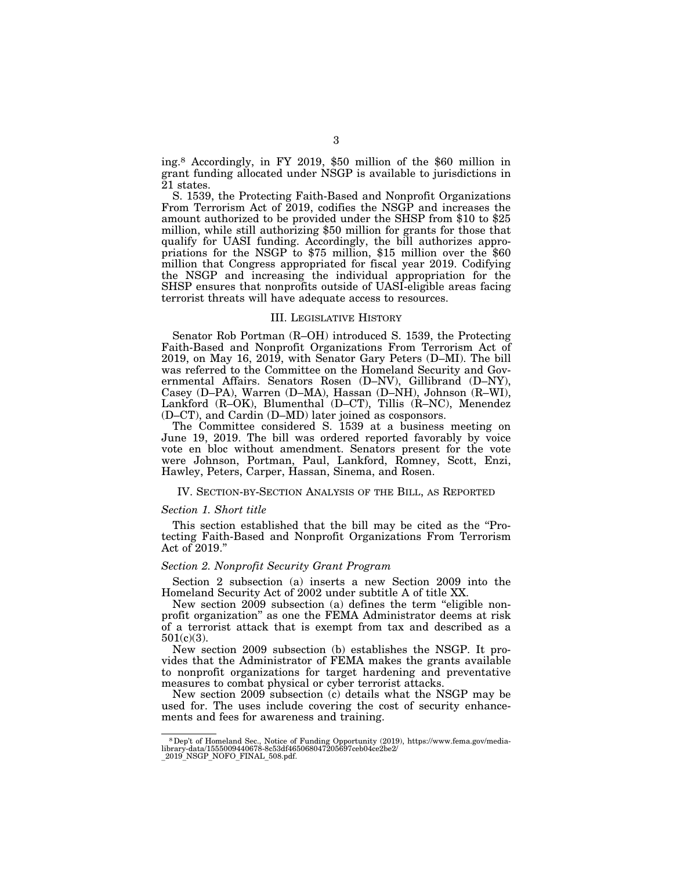ing.8 Accordingly, in FY 2019, \$50 million of the \$60 million in grant funding allocated under NSGP is available to jurisdictions in 21 states.

S. 1539, the Protecting Faith-Based and Nonprofit Organizations From Terrorism Act of 2019, codifies the NSGP and increases the amount authorized to be provided under the SHSP from \$10 to \$25 million, while still authorizing \$50 million for grants for those that qualify for UASI funding. Accordingly, the bill authorizes appropriations for the NSGP to \$75 million, \$15 million over the \$60 million that Congress appropriated for fiscal year 2019. Codifying the NSGP and increasing the individual appropriation for the SHSP ensures that nonprofits outside of UASI-eligible areas facing terrorist threats will have adequate access to resources.

#### III. LEGISLATIVE HISTORY

Senator Rob Portman (R–OH) introduced S. 1539, the Protecting Faith-Based and Nonprofit Organizations From Terrorism Act of 2019, on May 16, 2019, with Senator Gary Peters (D–MI). The bill was referred to the Committee on the Homeland Security and Governmental Affairs. Senators Rosen (D–NV), Gillibrand (D–NY), Casey (D–PA), Warren (D–MA), Hassan (D–NH), Johnson (R–WI), Lankford (R–OK), Blumenthal (D–CT), Tillis (R–NC), Menendez (D–CT), and Cardin (D–MD) later joined as cosponsors.

The Committee considered S. 1539 at a business meeting on June 19, 2019. The bill was ordered reported favorably by voice vote en bloc without amendment. Senators present for the vote were Johnson, Portman, Paul, Lankford, Romney, Scott, Enzi, Hawley, Peters, Carper, Hassan, Sinema, and Rosen.

## IV. SECTION-BY-SECTION ANALYSIS OF THE BILL, AS REPORTED

#### *Section 1. Short title*

This section established that the bill may be cited as the ''Protecting Faith-Based and Nonprofit Organizations From Terrorism Act of 2019.''

## *Section 2. Nonprofit Security Grant Program*

Section 2 subsection (a) inserts a new Section 2009 into the Homeland Security Act of 2002 under subtitle A of title XX.

New section 2009 subsection (a) defines the term ''eligible nonprofit organization'' as one the FEMA Administrator deems at risk of a terrorist attack that is exempt from tax and described as a 501(c)(3).

New section 2009 subsection (b) establishes the NSGP. It provides that the Administrator of FEMA makes the grants available to nonprofit organizations for target hardening and preventative measures to combat physical or cyber terrorist attacks.

New section 2009 subsection (c) details what the NSGP may be used for. The uses include covering the cost of security enhancements and fees for awareness and training.

<sup>8</sup>Dep't of Homeland Sec., Notice of Funding Opportunity (2019), https://www.fema.gov/media-library-data/1555009440678-8c53df465068047205697ceb04ce2be2/ \_2019\_NSGP\_NOFO\_FINAL\_508.pdf.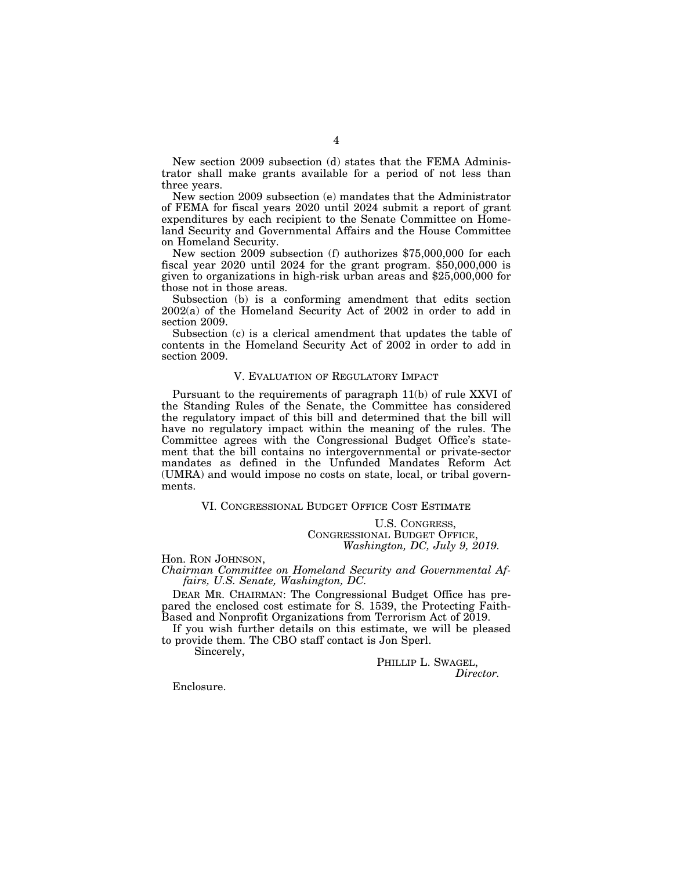New section 2009 subsection (d) states that the FEMA Administrator shall make grants available for a period of not less than three years.

New section 2009 subsection (e) mandates that the Administrator of FEMA for fiscal years 2020 until 2024 submit a report of grant expenditures by each recipient to the Senate Committee on Homeland Security and Governmental Affairs and the House Committee on Homeland Security.

New section 2009 subsection (f) authorizes \$75,000,000 for each fiscal year 2020 until 2024 for the grant program. \$50,000,000 is given to organizations in high-risk urban areas and \$25,000,000 for those not in those areas.

Subsection (b) is a conforming amendment that edits section 2002(a) of the Homeland Security Act of 2002 in order to add in section 2009.

Subsection (c) is a clerical amendment that updates the table of contents in the Homeland Security Act of 2002 in order to add in section 2009.

## V. EVALUATION OF REGULATORY IMPACT

Pursuant to the requirements of paragraph 11(b) of rule XXVI of the Standing Rules of the Senate, the Committee has considered the regulatory impact of this bill and determined that the bill will have no regulatory impact within the meaning of the rules. The Committee agrees with the Congressional Budget Office's statement that the bill contains no intergovernmental or private-sector mandates as defined in the Unfunded Mandates Reform Act (UMRA) and would impose no costs on state, local, or tribal governments.

VI. CONGRESSIONAL BUDGET OFFICE COST ESTIMATE

U.S. CONGRESS, CONGRESSIONAL BUDGET OFFICE, *Washington, DC, July 9, 2019.* 

Hon. RON JOHNSON, *Chairman Committee on Homeland Security and Governmental Affairs, U.S. Senate, Washington, DC.* 

DEAR MR. CHAIRMAN: The Congressional Budget Office has prepared the enclosed cost estimate for S. 1539, the Protecting Faith-Based and Nonprofit Organizations from Terrorism Act of 2019.

If you wish further details on this estimate, we will be pleased to provide them. The CBO staff contact is Jon Sperl.

Sincerely,

PHILLIP L. SWAGEL, *Director.* 

Enclosure.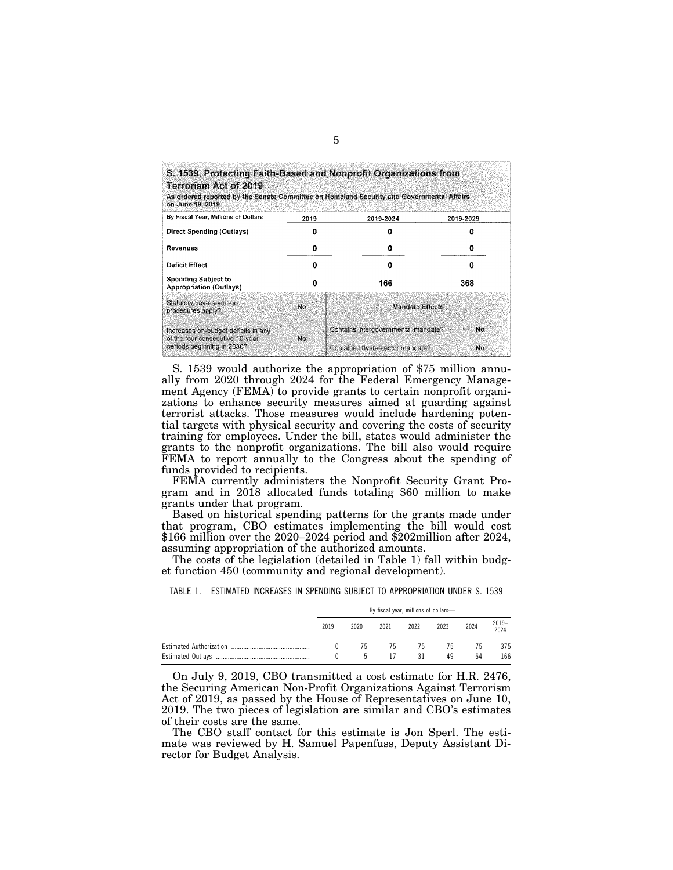| S. 1539, Protecting Faith-Based and Nonprofit Organizations from<br><b>Terrorism Act of 2019</b><br>As ordered reported by the Senate Committee on Homeland Security and Governmental Affairs.<br>on June 19, 2019 |      |                                     |           |  |
|--------------------------------------------------------------------------------------------------------------------------------------------------------------------------------------------------------------------|------|-------------------------------------|-----------|--|
| By Fiscal Year, Millions of Dollars                                                                                                                                                                                | 2019 | 2019-2024                           | 2019-2029 |  |
| <b>Direct Spending (Outlays)</b>                                                                                                                                                                                   |      |                                     | o         |  |
| Revenues                                                                                                                                                                                                           | Ω    | o                                   | o         |  |
| <b>Deficit Effect</b>                                                                                                                                                                                              | n    | Ω                                   | 0         |  |
| <b>Spending Subject to</b><br><b>Appropriation (Outlays)</b>                                                                                                                                                       | n    | 166                                 | 368       |  |
| Statutory pay-as-you-go<br>procedures apply?                                                                                                                                                                       | No.  | Mandate Effects                     |           |  |
| Increases on-budget deficits in any                                                                                                                                                                                |      | Contains intergovernmental mandate? | No.       |  |
| of the four consecutive 10-year<br>periods beginning in 2030?                                                                                                                                                      | No   | Contains private-sector mandate?    | No.       |  |

S. 1539 would authorize the appropriation of \$75 million annually from 2020 through 2024 for the Federal Emergency Management Agency (FEMA) to provide grants to certain nonprofit organizations to enhance security measures aimed at guarding against terrorist attacks. Those measures would include hardening potential targets with physical security and covering the costs of security training for employees. Under the bill, states would administer the grants to the nonprofit organizations. The bill also would require FEMA to report annually to the Congress about the spending of funds provided to recipients.

FEMA currently administers the Nonprofit Security Grant Program and in 2018 allocated funds totaling \$60 million to make grants under that program.

Based on historical spending patterns for the grants made under that program, CBO estimates implementing the bill would cost \$166 million over the 2020–2024 period and \$202million after 2024, assuming appropriation of the authorized amounts.

The costs of the legislation (detailed in Table 1) fall within budget function 450 (community and regional development).

| By fiscal year, millions of dollars- |          |          |          |          |          |               |
|--------------------------------------|----------|----------|----------|----------|----------|---------------|
| 2019                                 | 2020     | 2021     | 2022     | 2023     | 2024     | 2019-<br>2024 |
|                                      | 75<br>C. | 75<br>17 | 75<br>31 | 75<br>49 | 75<br>64 | 375<br>166    |

| TABLE 1.—ESTIMATED INCREASES IN SPENDING SUBJECT TO APPROPRIATION UNDER S. 1539 |  |  |  |  |  |  |  |  |
|---------------------------------------------------------------------------------|--|--|--|--|--|--|--|--|
|---------------------------------------------------------------------------------|--|--|--|--|--|--|--|--|

On July 9, 2019, CBO transmitted a cost estimate for H.R. 2476, the Securing American Non-Profit Organizations Against Terrorism Act of 2019, as passed by the House of Representatives on June 10, 2019. The two pieces of legislation are similar and CBO's estimates of their costs are the same.

The CBO staff contact for this estimate is Jon Sperl. The estimate was reviewed by H. Samuel Papenfuss, Deputy Assistant Director for Budget Analysis.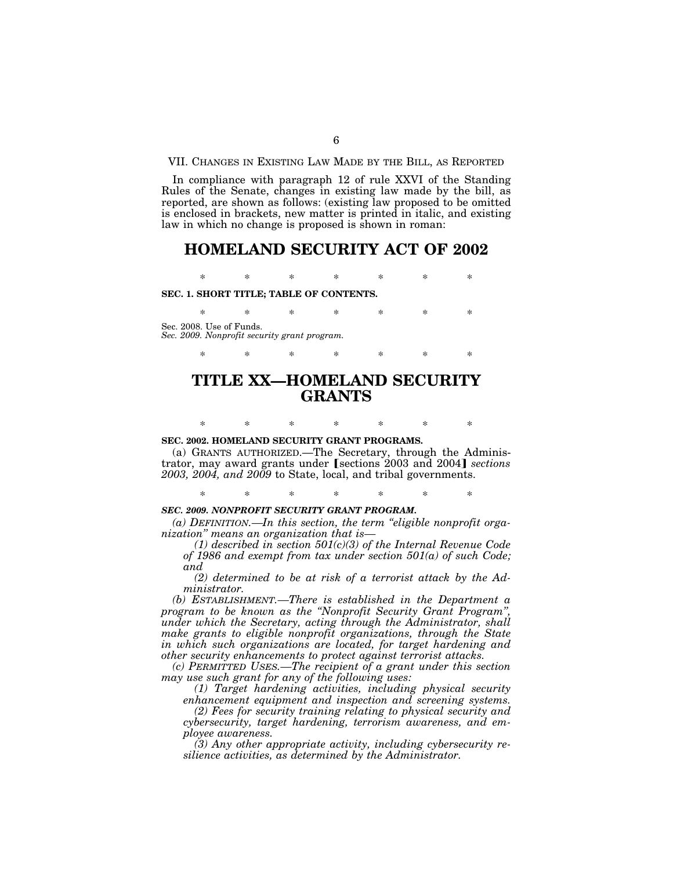VII. CHANGES IN EXISTING LAW MADE BY THE BILL, AS REPORTED

In compliance with paragraph 12 of rule XXVI of the Standing Rules of the Senate, changes in existing law made by the bill, as reported, are shown as follows: (existing law proposed to be omitted is enclosed in brackets, new matter is printed in italic, and existing law in which no change is proposed is shown in roman:

## **HOMELAND SECURITY ACT OF 2002**

\* \* \* \* \* \* \*

**SEC. 1. SHORT TITLE; TABLE OF CONTENTS.** 

\* \* \* \* \* \* \* Sec. 2008. Use of Funds. *Sec. 2009. Nonprofit security grant program.* 

# **TITLE XX—HOMELAND SECURITY GRANTS**

\* \* \* \* \* \* \*

**SEC. 2002. HOMELAND SECURITY GRANT PROGRAMS.** 

(a) GRANTS AUTHORIZED.—The Secretary, through the Administrator, may award grants under [sections 2003 and 2004] *sections 2003, 2004, and 2009* to State, local, and tribal governments.

\* \* \* \* \* \* \*

\* \* \* \* \* \* \*

#### *SEC. 2009. NONPROFIT SECURITY GRANT PROGRAM.*

*(a) DEFINITION.—In this section, the term ''eligible nonprofit organization'' means an organization that is—* 

*(1) described in section 501(c)(3) of the Internal Revenue Code of 1986 and exempt from tax under section 501(a) of such Code; and* 

*(2) determined to be at risk of a terrorist attack by the Administrator.* 

*(b) ESTABLISHMENT.—There is established in the Department a program to be known as the ''Nonprofit Security Grant Program'', under which the Secretary, acting through the Administrator, shall make grants to eligible nonprofit organizations, through the State in which such organizations are located, for target hardening and other security enhancements to protect against terrorist attacks.* 

*(c) PERMITTED USES.—The recipient of a grant under this section may use such grant for any of the following uses:* 

*(1) Target hardening activities, including physical security enhancement equipment and inspection and screening systems.* 

*(2) Fees for security training relating to physical security and cybersecurity, target hardening, terrorism awareness, and employee awareness.* 

*(3) Any other appropriate activity, including cybersecurity resilience activities, as determined by the Administrator.*